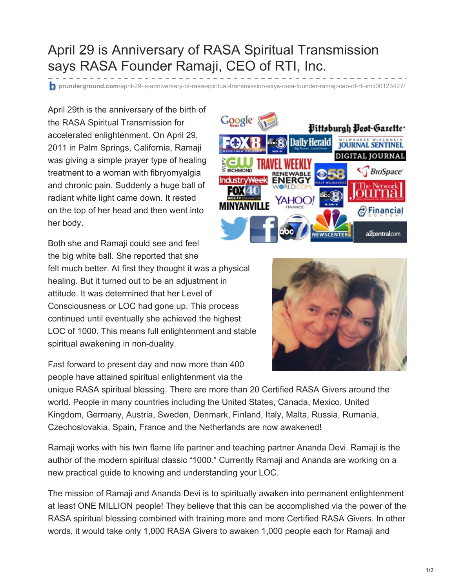## April 29 is Anniversary of RASA Spiritual Transmission says RASA Founder Ramaji, CEO of RTI, Inc.

**prunderground.com**[/april-29-is-anniversary-of-rasa-spiritual-transmission-says-rasa-founder-ramaji-ceo-of-rti-inc/00123427/](http://www.prunderground.com/april-29-is-anniversary-of-rasa-spiritual-transmission-says-rasa-founder-ramaji-ceo-of-rti-inc/00123427/)

April 29th is the anniversary of the birth of the RASA Spiritual Transmission for accelerated enlightenment. On April 29, 2011 in Palm Springs, California, Ramaji was giving a simple prayer type of healing treatment to a woman with fibryomyalgia and chronic pain. Suddenly a huge ball of radiant white light came down. It rested on the top of her head and then went into her body.



Both she and Ramaji could see and feel the big white ball. She reported that she felt much better. At first they thought it was a physical healing. But it turned out to be an adjustment in attitude. It was determined that her Level of Consciousness or LOC had gone up. This process continued until eventually she achieved the highest LOC of 1000. This means full enlightenment and stable spiritual awakening in non-duality.



unique RASA spiritual blessing. There are more than 20 Certified RASA Givers around the world. People in many countries including the United States, Canada, Mexico, United Kingdom, Germany, Austria, Sweden, Denmark, Finland, Italy, Malta, Russia, Rumania, Czechoslovakia, Spain, France and the Netherlands are now awakened!

Ramaji works with his twin flame life partner and teaching partner Ananda Devi. Ramaji is the author of the modern spiritual classic "1000." Currently Ramaji and Ananda are working on a new practical guide to knowing and understanding your LOC.

The mission of Ramaji and Ananda Devi is to spiritually awaken into permanent enlightenment at least ONE MILLION people! They believe that this can be accomplished via the power of the RASA spiritual blessing combined with training more and more Certified RASA Givers. In other words, it would take only 1,000 RASA Givers to awaken 1,000 people each for Ramaji and